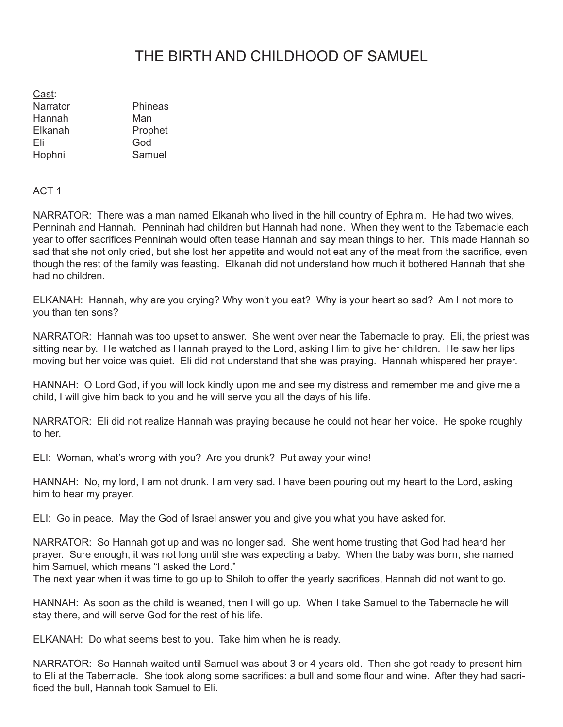## THE BIRTH AND CHILDHOOD OF SAMUEL

| Cast:    |         |
|----------|---------|
| Narrator | Phineas |
| Hannah   | Man     |
| Elkanah  | Prophet |
| Fli      | God     |
| Hophni   | Samuel  |

## ACT 1

NARRATOR: There was a man named Elkanah who lived in the hill country of Ephraim. He had two wives, Penninah and Hannah. Penninah had children but Hannah had none. When they went to the Tabernacle each year to offer sacrifices Penninah would often tease Hannah and say mean things to her. This made Hannah so sad that she not only cried, but she lost her appetite and would not eat any of the meat from the sacrifice, even though the rest of the family was feasting. Elkanah did not understand how much it bothered Hannah that she had no children.

ELKANAH: Hannah, why are you crying? Why won't you eat? Why is your heart so sad? Am I not more to you than ten sons?

NARRATOR: Hannah was too upset to answer. She went over near the Tabernacle to pray. Eli, the priest was sitting near by. He watched as Hannah prayed to the Lord, asking Him to give her children. He saw her lips moving but her voice was quiet. Eli did not understand that she was praying. Hannah whispered her prayer.

HANNAH: O Lord God, if you will look kindly upon me and see my distress and remember me and give me a child, I will give him back to you and he will serve you all the days of his life.

NARRATOR: Eli did not realize Hannah was praying because he could not hear her voice. He spoke roughly to her.

ELI: Woman, what's wrong with you? Are you drunk? Put away your wine!

HANNAH: No, my lord, I am not drunk. I am very sad. I have been pouring out my heart to the Lord, asking him to hear my prayer.

ELI: Go in peace. May the God of Israel answer you and give you what you have asked for.

NARRATOR: So Hannah got up and was no longer sad. She went home trusting that God had heard her prayer. Sure enough, it was not long until she was expecting a baby. When the baby was born, she named him Samuel, which means "I asked the Lord."

The next year when it was time to go up to Shiloh to offer the yearly sacrifices, Hannah did not want to go.

HANNAH: As soon as the child is weaned, then I will go up. When I take Samuel to the Tabernacle he will stay there, and will serve God for the rest of his life.

ELKANAH: Do what seems best to you. Take him when he is ready.

NARRATOR: So Hannah waited until Samuel was about 3 or 4 years old. Then she got ready to present him to Eli at the Tabernacle. She took along some sacrifices: a bull and some flour and wine. After they had sacrificed the bull, Hannah took Samuel to Eli.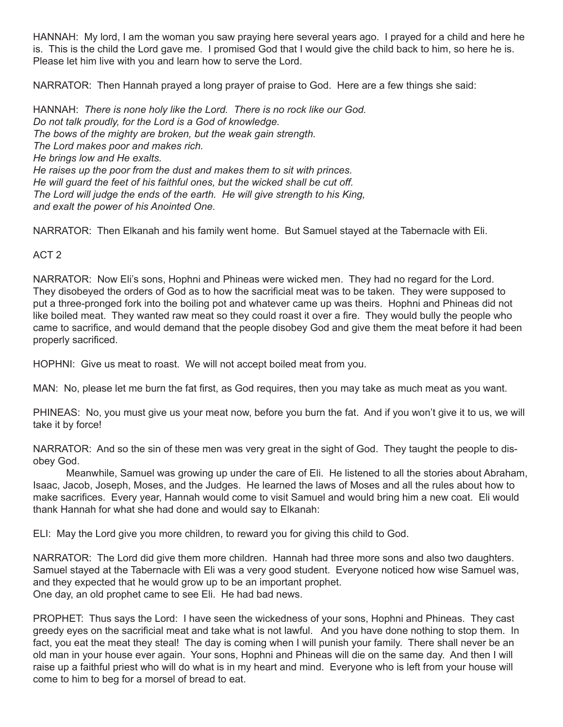HANNAH: My lord, I am the woman you saw praying here several years ago. I prayed for a child and here he is. This is the child the Lord gave me. I promised God that I would give the child back to him, so here he is. Please let him live with you and learn how to serve the Lord.

NARRATOR: Then Hannah prayed a long prayer of praise to God. Here are a few things she said:

HANNAH: *There is none holy like the Lord. There is no rock like our God. Do not talk proudly, for the Lord is a God of knowledge. The bows of the mighty are broken, but the weak gain strength. The Lord makes poor and makes rich. He brings low and He exalts. He raises up the poor from the dust and makes them to sit with princes. He will guard the feet of his faithful ones, but the wicked shall be cut off. The Lord will judge the ends of the earth. He will give strength to his King, and exalt the power of his Anointed One.*

NARRATOR: Then Elkanah and his family went home. But Samuel stayed at the Tabernacle with Eli.

## ACT 2

NARRATOR: Now Eli's sons, Hophni and Phineas were wicked men. They had no regard for the Lord. They disobeyed the orders of God as to how the sacrificial meat was to be taken. They were supposed to put a three-pronged fork into the boiling pot and whatever came up was theirs. Hophni and Phineas did not like boiled meat. They wanted raw meat so they could roast it over a fire. They would bully the people who came to sacrifice, and would demand that the people disobey God and give them the meat before it had been properly sacrificed.

HOPHNI: Give us meat to roast. We will not accept boiled meat from you.

MAN: No, please let me burn the fat first, as God requires, then you may take as much meat as you want.

PHINEAS: No, you must give us your meat now, before you burn the fat. And if you won't give it to us, we will take it by force!

NARRATOR: And so the sin of these men was very great in the sight of God. They taught the people to disobey God.

Meanwhile, Samuel was growing up under the care of Eli. He listened to all the stories about Abraham, Isaac, Jacob, Joseph, Moses, and the Judges. He learned the laws of Moses and all the rules about how to make sacrifices. Every year, Hannah would come to visit Samuel and would bring him a new coat. Eli would thank Hannah for what she had done and would say to Elkanah:

ELI: May the Lord give you more children, to reward you for giving this child to God.

NARRATOR: The Lord did give them more children. Hannah had three more sons and also two daughters. Samuel stayed at the Tabernacle with Eli was a very good student. Everyone noticed how wise Samuel was, and they expected that he would grow up to be an important prophet. One day, an old prophet came to see Eli. He had bad news.

PROPHET: Thus says the Lord: I have seen the wickedness of your sons, Hophni and Phineas. They cast greedy eyes on the sacrificial meat and take what is not lawful. And you have done nothing to stop them. In fact, you eat the meat they steal! The day is coming when I will punish your family. There shall never be an old man in your house ever again. Your sons, Hophni and Phineas will die on the same day. And then I will raise up a faithful priest who will do what is in my heart and mind. Everyone who is left from your house will come to him to beg for a morsel of bread to eat.